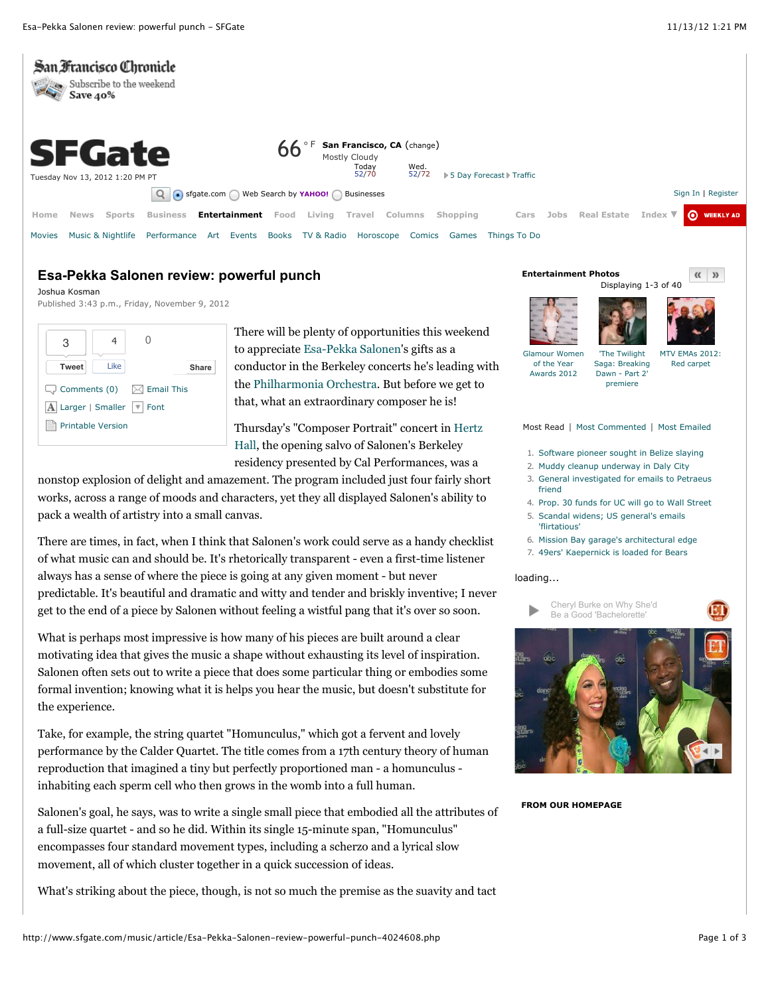

## **Esa-Pekka Salonen review: powerful punch**

Joshua Kosman Published 3:43 p.m., Friday, November 9, 2012

| З                                                 |      |  |       |
|---------------------------------------------------|------|--|-------|
| <b>Tweet</b>                                      | Like |  | Share |
| $\Box$ Comments (0) $\boxtimes$ Email This        |      |  |       |
| $\mathbf{A}$ Larger   Smaller $ \mathbf{v} $ Font |      |  |       |
| <b>Printable Version</b>                          |      |  |       |

There will be plenty of opportunities this weekend to appreciate Esa-Pekka Salonen's gifts as a conductor in the Berkeley concerts he's leading with the Philharmonia Orchestra. But before we get to that, what an extraordinary composer he is!

Thursday's "Composer Portrait" concert in Hertz Hall, the opening salvo of Salonen's Berkeley residency presented by Cal Performances, was a

nonstop explosion of delight and amazement. The program included just four fairly short works, across a range of moods and characters, yet they all displayed Salonen's ability to pack a wealth of artistry into a small canvas.

There are times, in fact, when I think that Salonen's work could serve as a handy checklist of what music can and should be. It's rhetorically transparent - even a first-time listener always has a sense of where the piece is going at any given moment - but never predictable. It's beautiful and dramatic and witty and tender and briskly inventive; I never get to the end of a piece by Salonen without feeling a wistful pang that it's over so soon.

What is perhaps most impressive is how many of his pieces are built around a clear motivating idea that gives the music a shape without exhausting its level of inspiration. Salonen often sets out to write a piece that does some particular thing or embodies some formal invention; knowing what it is helps you hear the music, but doesn't substitute for the experience.

Take, for example, the string quartet "Homunculus," which got a fervent and lovely performance by the Calder Quartet. The title comes from a 17th century theory of human reproduction that imagined a tiny but perfectly proportioned man - a homunculus inhabiting each sperm cell who then grows in the womb into a full human.

Salonen's goal, he says, was to write a single small piece that embodied all the attributes of a full-size quartet - and so he did. Within its single 15-minute span, "Homunculus" encompasses four standard movement types, including a scherzo and a lyrical slow movement, all of which cluster together in a quick succession of ideas.

What's striking about the piece, though, is not so much the premise as the suavity and tact







Glamour Women of the Year Awards 2012

'The Twilight Saga: Breaking Dawn - Part 2' premiere MTV EMAs 2012: Red carpet

Most Read | Most Commented | Most Emailed

- 1. Software pioneer sought in Belize slaying
- 2. Muddy cleanup underway in Daly City
- 3. General investigated for emails to Petraeus friend
- 4. Prop. 30 funds for UC will go to Wall Street
- 5. Scandal widens; US general's emails 'flirtatious'
- 6. Mission Bay garage's architectural edge
	- 7. 49ers' Kaepernick is loaded for Bears

## loading...





**FROM OUR HOMEPAGE**

 $\langle\langle \rangle$